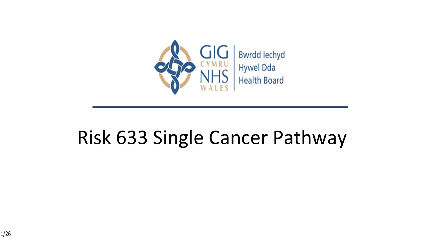

# Risk 633 Single Cancer Pathway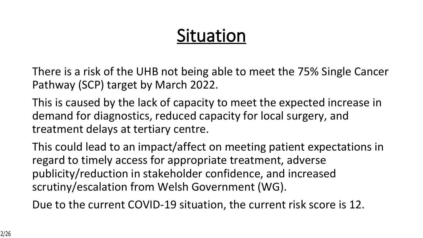# **Situation**

There is a risk of the UHB not being able to meet the 75% Single Cancer Pathway (SCP) target by March 2022.

This is caused by the lack of capacity to meet the expected increase in demand for diagnostics, reduced capacity for local surgery, and treatment delays at tertiary centre.

This could lead to an impact/affect on meeting patient expectations in regard to timely access for appropriate treatment, adverse publicity/reduction in stakeholder confidence, and increased scrutiny/escalation from Welsh Government (WG).

Due to the current COVID-19 situation, the current risk score is 12.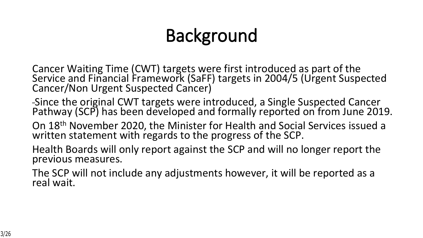# **Background**

- Cancer Waiting Time (CWT) targets were first introduced as part of the Service and Financial Framework (SaFF) targets in 2004/5 (Urgent Suspected Cancer/Non Urgent Suspected Cancer)
- Since the original CWT targets were introduced, a Single Suspected Cancer Pathway (SCP) has been developed and formally reported on from June 2019.
- On 18th November 2020, the Minister for Health and Social Services issued a written statement with regards to the progress of the SCP.
- Health Boards will only report against the SCP and will no longer report the previous measures.
- The SCP will not include any adjustments however, it will be reported as a real wait.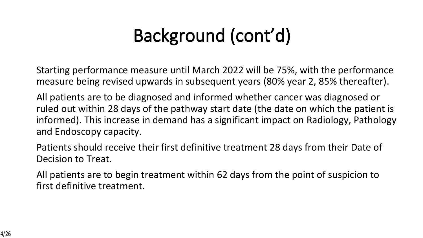# **Background (cont'd)**

Starting performance measure until March 2022 will be 75%, with the performance measure being revised upwards in subsequent years (80% year 2, 85% thereafter).

All patients are to be diagnosed and informed whether cancer was diagnosed or ruled out within 28 days of the pathway start date (the date on which the patient is informed). This increase in demand has a significant impact on Radiology, Pathology and Endoscopy capacity.

Patients should receive their first definitive treatment 28 days from their Date of Decision to Treat.

All patients are to begin treatment within 62 days from the point of suspicion to first definitive treatment.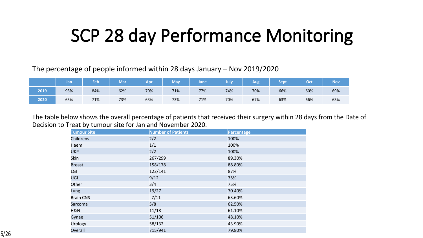## **SCP 28 day Performance Monitoring**

The percentage of people informed within 28 days January – Nov 2019/2020

|      | Jan | Feb | Mar <sup>'</sup> | Apr | <b>May</b> | lune | July | Aug | Sept | Oct | Nov <sup>'</sup> |
|------|-----|-----|------------------|-----|------------|------|------|-----|------|-----|------------------|
| 2019 | 93% | 84% | 62%              | 70% | 71%        | 77%  | 74%  | 70% | 66%  | 60% | 69%              |
| 2020 | 65% | 71% | 73%              | 63% | 73%        | 71%  | 70%  | 67% | 63%  | 66% | 63%              |

The table below shows the overall percentage of patients that received their surgery within 28 days from the Date of Decision to Treat by tumour site for Jan and November 2020.

| <b>Tumour Site</b> | <b>Number of Patients</b> | Percentage |
|--------------------|---------------------------|------------|
| Childrens          | 2/2                       | 100%       |
| Haem               | 1/1                       | 100%       |
| <b>UKP</b>         | 2/2                       | 100%       |
| Skin               | 267/299                   | 89.30%     |
| <b>Breast</b>      | 158/178                   | 88.80%     |
| LGI                | 122/141                   | 87%        |
| <b>UGI</b>         | 9/12                      | 75%        |
| Other              | 3/4                       | 75%        |
| Lung               | 19/27                     | 70.40%     |
| <b>Brain CNS</b>   | 7/11                      | 63.60%     |
| Sarcoma            | 5/8                       | 62.50%     |
| H&N                | 11/18                     | 61.10%     |
| Gynae              | 51/106                    | 48.10%     |
| Urology            | 58/132                    | 43.90%     |
| Overall            | 715/941                   | 79.80%     |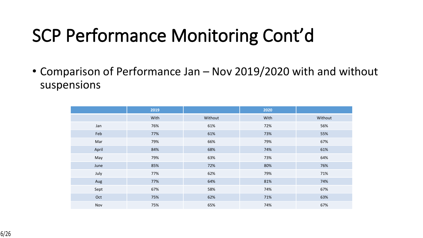# **SCP Performance Monitoring Cont'd**

• Comparison of Performance Jan – Nov 2019/2020 with and without suspensions

|       | 2019 |         | 2020 |         |
|-------|------|---------|------|---------|
|       | With | Without | With | Without |
| Jan   | 76%  | 61%     | 72%  | 56%     |
| Feb   | 77%  | 61%     | 73%  | 55%     |
| Mar   | 79%  | 66%     | 79%  | 67%     |
| April | 84%  | 68%     | 74%  | 61%     |
| May   | 79%  | 63%     | 73%  | 64%     |
| June  | 85%  | 72%     | 80%  | 76%     |
| July  | 77%  | 62%     | 79%  | 71%     |
| Aug   | 77%  | 64%     | 81%  | 74%     |
| Sept  | 67%  | 58%     | 74%  | 67%     |
| Oct   | 75%  | 62%     | 71%  | 63%     |
| Nov   | 75%  | 65%     | 74%  | 67%     |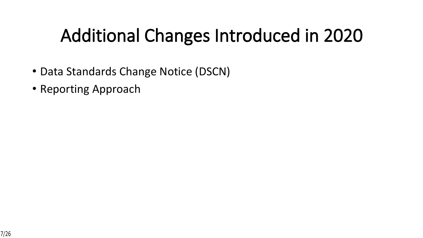# **Additional Changes Introduced in 2020**

- Data Standards Change Notice (DSCN)
- Reporting Approach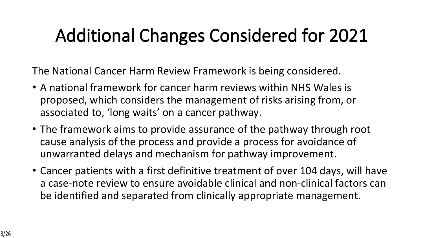# **Additional Changes Considered for 2021**

The National Cancer Harm Review Framework is being considered.

- A national framework for cancer harm reviews within NHS Wales is proposed, which considers the management of risks arising from, or associated to, 'long waits' on a cancer pathway.
- The framework aims to provide assurance of the pathway through root cause analysis of the process and provide a process for avoidance of unwarranted delays and mechanism for pathway improvement.
- Cancer patients with a first definitive treatment of over 104 days, will have a case-note review to ensure avoidable clinical and non-clinical factors can be identified and separated from clinically appropriate management.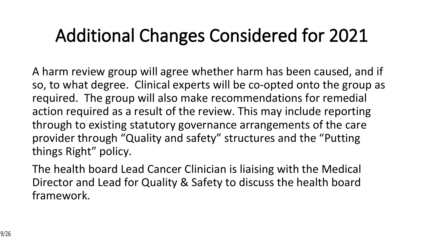# **Additional Changes Considered for 2021**

A harm review group will agree whether harm has been caused, and if so, to what degree. Clinical experts will be co-opted onto the group as required. The group will also make recommendations for remedial action required as a result of the review. This may include reporting through to existing statutory governance arrangements of the care provider through "Quality and safety" structures and the "Putting things Right" policy.

The health board Lead Cancer Clinician is liaising with the Medical Director and Lead for Quality & Safety to discuss the health board framework.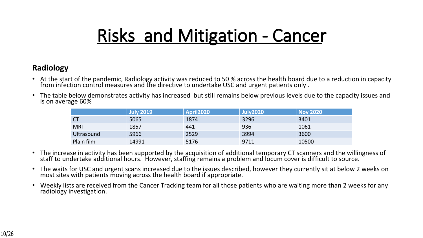## **Risks and Mitigation - Cancer**

#### **Radiology**

- At the start of the pandemic, Radiology activity was reduced to 50 % across the health board due to a reduction in capacity from infection control measures and the directive to undertake USC and urgent patients only .
- The table below demonstrates activity has increased but still remains below previous levels due to the capacity issues and is on average 60%

|            | <b>July 2019</b> | April2020 | <b>July2020</b> | <b>Nov 2020</b> |
|------------|------------------|-----------|-----------------|-----------------|
| <b>CT</b>  | 5065             | 1874      | 3296            | 3401            |
| <b>MRI</b> | 1857             | 441       | 936             | 1061            |
| Ultrasound | 5966             | 2529      | 3994            | 3600            |
| Plain film | 14991            | 5176      | 9711            | 10500           |

- The increase in activity has been supported by the acquisition of additional temporary CT scanners and the willingness of staff to undertake additional hours. However, staffing remains a problem and locum cover is difficult to source.
- The waits for USC and urgent scans increased due to the issues described, however they currently sit at below 2 weeks on most sites with patients moving across the health board if appropriate.
- Weekly lists are received from the Cancer Tracking team for all those patients who are waiting more than 2 weeks for any radiology investigation.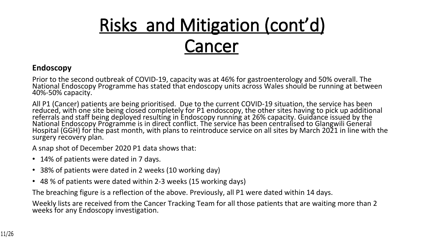#### **Endoscopy**

Prior to the second outbreak of COVID-19, capacity was at 46% for gastroenterology and 50% overall. The National Endoscopy Programme has stated that endoscopy units across Wales should be running at between 40%-50% capacity.

All P1 (Cancer) patients are being prioritised. Due to the current COVID-19 situation, the service has been reduced, with one site being closed completely for P1 endoscopy, the other sites having to pick up additional referrals and staff being deployed resulting in Endoscopy running at 26% capacity. Guidance issued by the National Endoscopy Programme is in direct conflict. The service has been centralised to Glangwili General Hospital (GGH) for the past month, with plans to reintroduce service on all sites by March 2021 in line with the surgery recovery plan.

A snap shot of December 2020 P1 data shows that:

- 14% of patients were dated in 7 days.
- 38% of patients were dated in 2 weeks (10 working day)
- 48 % of patients were dated within 2-3 weeks (15 working days)

The breaching figure is a reflection of the above. Previously, all P1 were dated within 14 days.

Weekly lists are received from the Cancer Tracking Team for all those patients that are waiting more than 2 weeks for any Endoscopy investigation.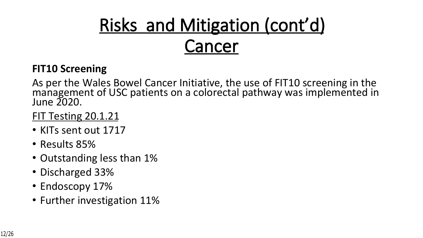### **FIT10 Screening**

As per the Wales Bowel Cancer Initiative, the use of FIT10 screening in the management of USC patients on a colorectal pathway was implemented in June 2020.

### FIT Testing 20.1.21

- KITs sent out 1717
- Results 85%
- Outstanding less than 1%
- Discharged 33%
- Endoscopy 17%
- Further investigation 11%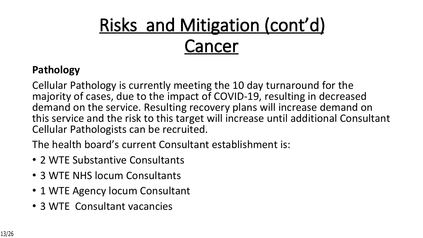### **Pathology**

Cellular Pathology is currently meeting the 10 day turnaround for the majority of cases, due to the impact of COVID-19, resulting in decreased demand on the service. Resulting recovery plans will increase demand on this service and the risk to this target will increase until additional Consultant Cellular Pathologists can be recruited.

The health board's current Consultant establishment is:

- 2 WTE Substantive Consultants
- 3 WTE NHS locum Consultants
- 1 WTE Agency locum Consultant
- 3 WTE Consultant vacancies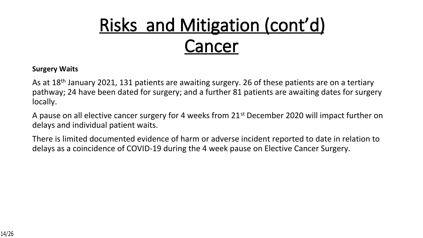#### **Surgery Waits**

As at 18<sup>th</sup> January 2021, 131 patients are awaiting surgery. 26 of these patients are on a tertiary pathway; 24 have been dated for surgery; and a further 81 patients are awaiting dates for surgery locally.

A pause on all elective cancer surgery for 4 weeks from 21<sup>st</sup> December 2020 will impact further on delays and individual patient waits.

There is limited documented evidence of harm or adverse incident reported to date in relation to delays as a coincidence of COVID-19 during the 4 week pause on Elective Cancer Surgery.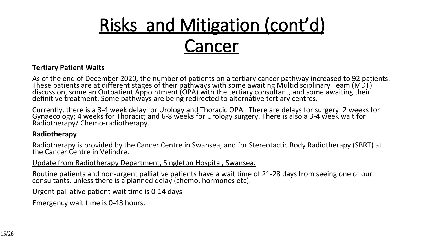#### **Tertiary Patient Waits**

As of the end of December 2020, the number of patients on a tertiary cancer pathway increased to 92 patients. These patients are at different stages of their pathways with some awaiting Multidisciplinary Team (MDT) discussion, some an Outpatient Appointment (OPA) with the tertiary consultant, and some awaiting their definitive treatment. Some pathways are being redirected to alternative tertiary centres.

Currently, there is a 3-4 week delay for Urology and Thoracic OPA. There are delays for surgery: 2 weeks for Gynaecology; 4 weeks for Thoracic; and 6-8 weeks for Urology surgery. There is also a 3-4 week wait for Radiotherapy/ Chemo-radiotherapy.

#### **Radiotherapy**

Radiotherapy is provided by the Cancer Centre in Swansea, and for Stereotactic Body Radiotherapy (SBRT) at the Cancer Centre in Velindre.

Update from Radiotherapy Department, Singleton Hospital, Swansea.

Routine patients and non-urgent palliative patients have a wait time of 21-28 days from seeing one of our consultants, unless there is a planned delay (chemo, hormones etc).

Urgent palliative patient wait time is 0-14 days

Emergency wait time is 0-48 hours.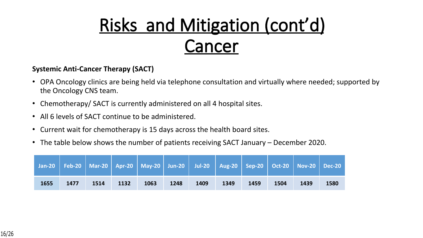#### **Systemic Anti-Cancer Therapy (SACT)**

- OPA Oncology clinics are being held via telephone consultation and virtually where needed; supported by the Oncology CNS team.
- Chemotherapy/ SACT is currently administered on all 4 hospital sites.
- All 6 levels of SACT continue to be administered.
- Current wait for chemotherapy is 15 days across the health board sites.
- The table below shows the number of patients receiving SACT January December 2020.

|      |      |      |      | Jan-20   Feb-20   Mar-20   Apr-20   May-20   Jun-20   Jul-20   Aug-20   Sep-20   Oct-20   Nov-20   Dec-20 |      |      |      |      |      |      |      |
|------|------|------|------|-----------------------------------------------------------------------------------------------------------|------|------|------|------|------|------|------|
| 1655 | 1477 | 1514 | 1132 | 1063                                                                                                      | 1248 | 1409 | 1349 | 1459 | 1504 | 1439 | 1580 |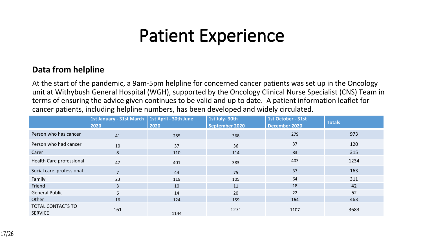## **Patient Experience**

#### **Data from helpline**

At the start of the pandemic, a 9am-5pm helpline for concerned cancer patients was set up in the Oncology unit at Withybush General Hospital (WGH), supported by the Oncology Clinical Nurse Specialist (CNS) Team in terms of ensuring the advice given continues to be valid and up to date. A patient information leaflet for cancer patients, including helpline numbers, has been developed and widely circulated.

|                                     | 1st January - 31st March   1st April - 30th June<br>2020 | 2020 | 1st July-30th<br><b>September 2020</b> | 1st October - 31st<br>December 2020 | <b>Totals</b> |
|-------------------------------------|----------------------------------------------------------|------|----------------------------------------|-------------------------------------|---------------|
| Person who has cancer               | 41                                                       | 285  | 368                                    | 279                                 | 973           |
| Person who had cancer               | 10                                                       | 37   | 36                                     | 37                                  | 120           |
| Carer                               | 8                                                        | 110  | 114                                    | 83                                  | 315           |
| Health Care professional            | 47                                                       | 401  | 383                                    | 403                                 | 1234          |
| Social care professional            | $\overline{7}$                                           | 44   | 75                                     | 37                                  | 163           |
| Family                              | 23                                                       | 119  | 105                                    | 64                                  | 311           |
| Friend                              | 3                                                        | 10   | 11                                     | 18                                  | 42            |
| <b>General Public</b>               | 6                                                        | 14   | 20                                     | 22                                  | 62            |
| Other                               | 16                                                       | 124  | 159                                    | 164                                 | 463           |
| TOTAL CONTACTS TO<br><b>SERVICE</b> | 161                                                      | 1144 | 1271                                   | 1107                                | 3683          |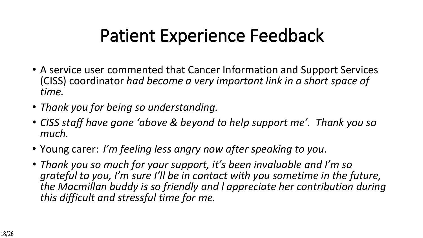# **Patient Experience Feedback**

- A service user commented that Cancer Information and Support Services (CISS) coordinator *had become a very important link in a short space of time.*
- *Thank you for being so understanding.*
- *CISS staff have gone 'above & beyond to help support me'. Thank you so much.*
- Young carer: *I'm feeling less angry now after speaking to you*.
- *Thank you so much for your support, it's been invaluable and I'm so grateful to you, I'm sure I'll be in contact with you sometime in the future, the Macmillan buddy is so friendly and l appreciate her contribution during this difficult and stressful time for me.*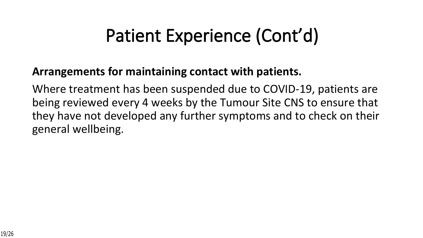## **Patient Experience (Cont'd)**

### **Arrangements for maintaining contact with patients.**

Where treatment has been suspended due to COVID-19, patients are being reviewed every 4 weeks by the Tumour Site CNS to ensure that they have not developed any further symptoms and to check on their general wellbeing.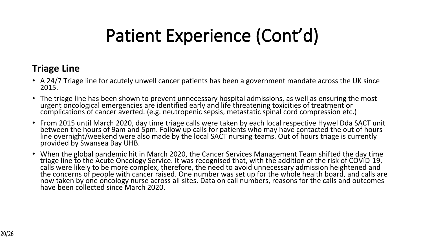# **Patient Experience (Cont'd)**

### **Triage Line**

- A 24/7 Triage line for acutely unwell cancer patients has been a government mandate across the UK since 2015.
- The triage line has been shown to prevent unnecessary hospital admissions, as well as ensuring the most urgent oncological emergencies are identified early and life threatening toxicities of treatment or complications of cancer averted. (e.g. neutropenic sepsis, metastatic spinal cord compression etc.)
- From 2015 until March 2020, day time triage calls were taken by each local respective Hywel Dda SACT unit between the hours of 9am and 5pm. Follow up calls for patients who may have contacted the out of hours line overnight/weekend were also made by the local SACT nursing teams. Out of hours triage is currently provided by Swansea Bay UHB.
- When the global pandemic hit in March 2020, the Cancer Services Management Team shifted the day time triage line to the Acute Oncology Service. It was recognised that, with the addition of the risk of COVID-19, calls were likely to be more complex, therefore, the need to avoid unnecessary admission heightened and the concerns of people with cancer raised. One number was set up for the whole health board, and calls are now taken by one oncology nurse across all sites. Data on call numbers, reasons for the calls and outcomes have been collected since March 2020.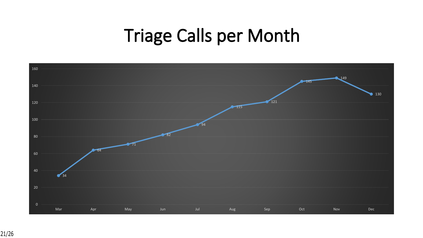# **Triage Calls per Month**

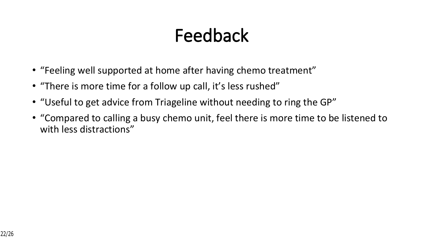# **Feedback**

- "Feeling well supported at home after having chemo treatment"
- "There is more time for a follow up call, it's less rushed"
- "Useful to get advice from Triageline without needing to ring the GP"
- "Compared to calling a busy chemo unit, feel there is more time to be listened to with less distractions"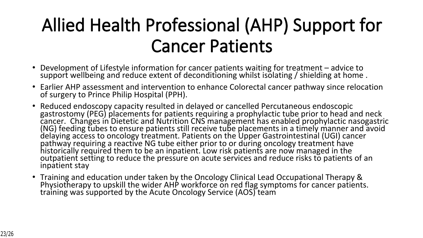# **Allied Health Professional (AHP) Support for Cancer Patients**

- Development of Lifestyle information for cancer patients waiting for treatment advice to support wellbeing and reduce extent of deconditioning whilst isolating / shielding at home .
- Earlier AHP assessment and intervention to enhance Colorectal cancer pathway since relocation of surgery to Prince Philip Hospital (PPH).
- Reduced endoscopy capacity resulted in delayed or cancelled Percutaneous endoscopic gastrostomy (PEG) placements for patients requiring a prophylactic tube prior to head and neck cancer. Changes in Dietetic and Nutrition CNS management has enabled prophylactic nasogastric (NG) feeding tubes to ensure patients still receive tube placements in a timely manner and avoid delaying access to oncology treatment. Patients on the Upper Gastrointestinal (UGI) cancer pathway requiring a reactive NG tube either prior to or during oncology treatment have historically required them to be an inpatient. Low risk patients are now managed in the outpatient setting to reduce the pressure on acute services and reduce risks to patients of an inpatient stay
- Training and education under taken by the Oncology Clinical Lead Occupational Therapy & Physiotherapy to upskill the wider AHP workforce on red flag symptoms for cancer patients. training was supported by the Acute Oncology Service (AOS) team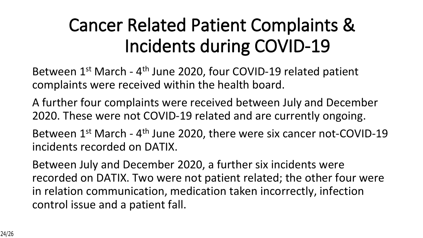# **Cancer Related Patient Complaints & Incidents during COVID-19**

Between 1<sup>st</sup> March - 4<sup>th</sup> June 2020, four COVID-19 related patient complaints were received within the health board.

A further four complaints were received between July and December 2020. These were not COVID-19 related and are currently ongoing.

Between 1<sup>st</sup> March - 4<sup>th</sup> June 2020, there were six cancer not-COVID-19 incidents recorded on DATIX.

Between July and December 2020, a further six incidents were recorded on DATIX. Two were not patient related; the other four were in relation communication, medication taken incorrectly, infection control issue and a patient fall.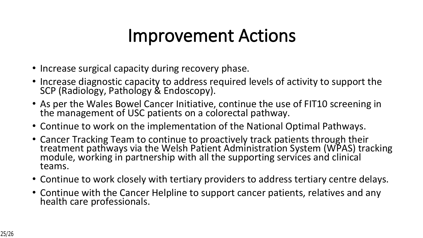### **Improvement Actions**

- Increase surgical capacity during recovery phase.
- Increase diagnostic capacity to address required levels of activity to support the SCP (Radiology, Pathology & Endoscopy).
- As per the Wales Bowel Cancer Initiative, continue the use of FIT10 screening in the management of USC patients on a colorectal pathway.
- Continue to work on the implementation of the National Optimal Pathways.
- Cancer Tracking Team to continue to proactively track patients through their treatment pathways via the Welsh Patient Administration System (WPAS) tracking module, working in partnership with all the supporting services and clinical teams.
- Continue to work closely with tertiary providers to address tertiary centre delays.
- Continue with the Cancer Helpline to support cancer patients, relatives and any health care professionals.